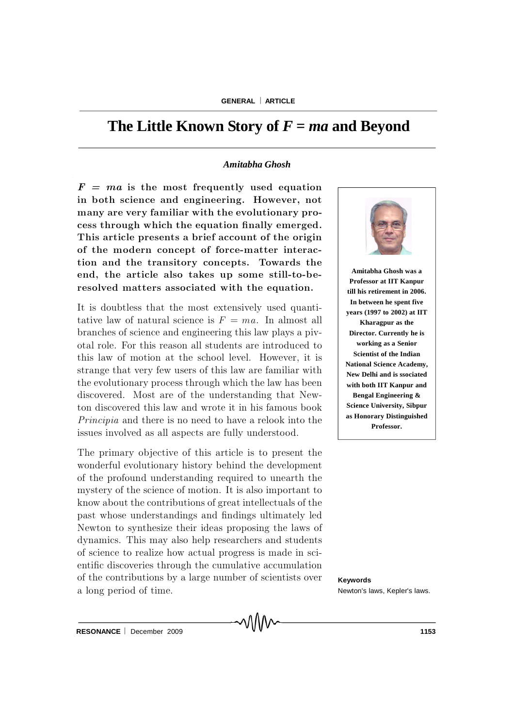# The Little Known Story of  $F = ma$  and Beyond

# *Amitabha Ghosh*

 $F = ma$  is the most frequently used equation in both science and engineering. However, not many are very familiar with the evolutionary process through which the equation finally emerged. This article presents a brief account of the origin of the modern concept of force-matter interaction and the transitory concepts. Towards the end, the article also takes up some still-to-beresolved matters associated with the equation.

It is doubtless that the most extensively used quantitative law of natural science is  $F = ma$ . In almost all branches of science and engineering this law plays a pivotal role. For this reason all students are introduced to this law of motion at the school level. However, it is strange that very few users of this law are familiar with the evolutionary process through which the law has been discovered. Most are of the understanding that Newton discovered this law and wrote it in his famous book Principia and there is no need to have a relook into the issues involved as all aspects are fully understood.

The primary objective of this article is to present the wonderful evolutionary history behind the development of the profound understanding required to unearth the mystery of the science of motion. It is also important to know about the contributions of great intellectuals of the past whose understandings and findings ultimately led Newton to synthesize their ideas proposing the laws of dynamics. This may also help researchers and students of science to realize how actual progress is m ade in scientific discoveries through the cumulative accumulation of the contributions by a large number of scientists over a long period of time.



**Amitabha Ghosh was a Professor at IIT Kanpur till his retirement in 2006. In between he spent five years (1997 to 2002) at IIT Kharagpur as the Director. Currently he is working as a Senior Scientist of the Indian National Science Academy, New Delhi and is ssociated with both IIT Kanpur and Bengal Engineering & Science University, Sibpur as Honorary Distinguished Professor.**

**Keywords** Newton's laws, Kepler's laws.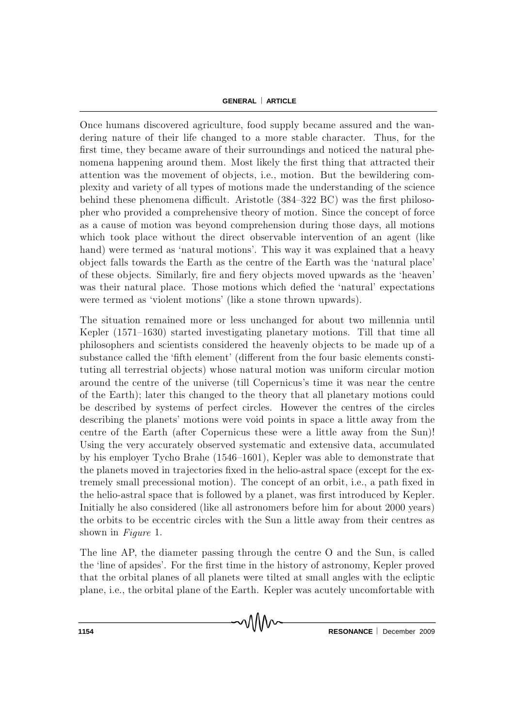Once humans discovered agriculture, food supply became assured and the wandering nature of their life changed to a more stable character. Thus, for the first time, they became aware of their surroundings and noticed the natural phenomena happening around them. Most likely the first thing that attracted their attention was the movement of objects, i.e., motion. But the bewildering complexity and variety of all types of motions made the understanding of the science behind these phenomena difficult. Aristotle  $(384-322 \text{ BC})$  was the first philosopher who provided a comprehensive theory of motion. Since the concept of force as a cause of motion was beyond comprehension during those days, all motions which took place without the direct observable intervention of an agent (like hand) were termed as 'natural motions'. This way it was explained that a heavy object falls towards the Earth as the centre of the Earth was the 'natural place' of these objects. Similarly, fire and fiery objects moved upwards as the 'heaven' was their natural place. Those motions which defied the 'natural' expectations were termed as 'violent motions' (like a stone thrown upwards).

The situation remained more or less unchanged for about two millennia until Kepler  $(1571–1630)$  started investigating planetary motions. Till that time all philosophers and scientists considered the heavenly objects to be made up of a substance called the 'fifth element' (different from the four basic elements constituting all terrestrial objects) whose natural motion was uniform circular motion around the centre of the universe (till Copernicus's time it was near the centre of the Earth); later this changed to the theory that all planetary motions could be described by systems of perfect circles. However the centres of the circles describing the planets' motions were void points in space a little away from the centre of the Earth (after Copernicus these were a little away from the Sun)! Using the very accurately observed systematic and extensive data, accumulated by his employer Tycho Brahe (1546–1601), K epler was able to demonstrate that the planets moved in trajectories fixed in the helio-astral space (except for the extrem ely small precessional motion). The concept of an orbit, i.e., a path fixed in the helio-astral space that is followed by a planet, was first introduced by Kepler. Initially he also considered (like all astronomers before him for about 2000 years) the orbits to be eccentric circles with the Sun a little away from their centres as shown in  $Figure 1$ .

The line AP, the diameter passing through the centre O and the Sun, is called the 'line of apsides'. For the first time in the history of astronomy, K epler proved that the orbital planes of all planets were tilted at small angles with the ecliptic plane, i.e., the orbital plane of the Earth. Kepler was acutely uncomfortable with

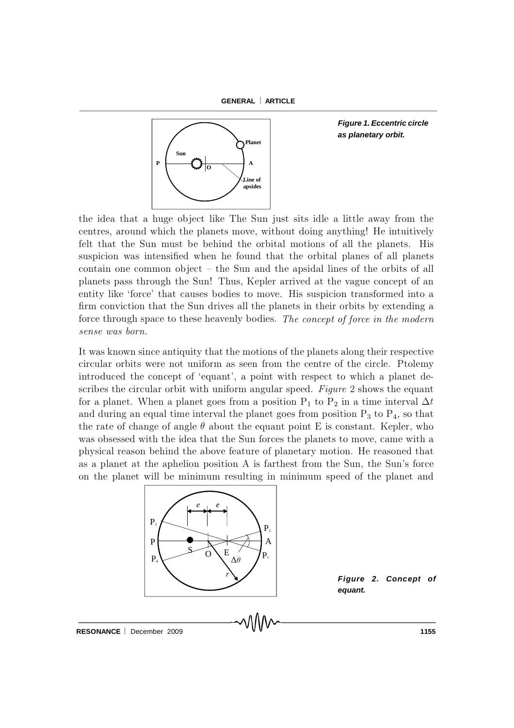



*Figure 1. Eccentric circle as planetary orbit.*

the idea that a huge object like The Sun just sits idle a little away from the centres, around which the planets move, without doing anything! He intuitively felt that the Sun must be behind the orbital motions of all the planets. His suspicion was intensified when he found that the orbital planes of all planets contain one common object  $-$  the Sun and the apsidal lines of the orbits of all planets pass through the Sun! Thus, K epler arrived at the vague concept of an entity like 'force' that causes bodies to move. His suspicion transformed into a firm conviction that the Sun drives all the planets in their orbits by extending a force through space to these heavenly bodies. The concept of force in the modern sense was born.

It was known since antiquity that the motions of the planets along their respective circular orbits were not uniform as seen from the centre of the circle. Ptolemy introduced the concept of 'equant', a point with respect to which a planet describes the circular orbit with uniform angular speed. Figure 2 shows the equant for a planet. When a planet goes from a position  $P_1$  to  $P_2$  in a time interval  $\Delta t$ and during an equal time interval the planet goes from position  $P_3$  to  $P_4$ , so that the rate of change of angle  $\theta$  about the equant point E is constant. Kepler, who was obsessed with the idea that the Sun forces the planets to move, came with a physical reason behind the above feature of planetary motion. He reasoned that as a planet at the aphelion position A is farthest from the Sun, the Sun's force on the planet will be minimum resulting in minimum speed of the planet and



*Figure 2. Concept of equant.*

RESONANCE December 2009 **1155**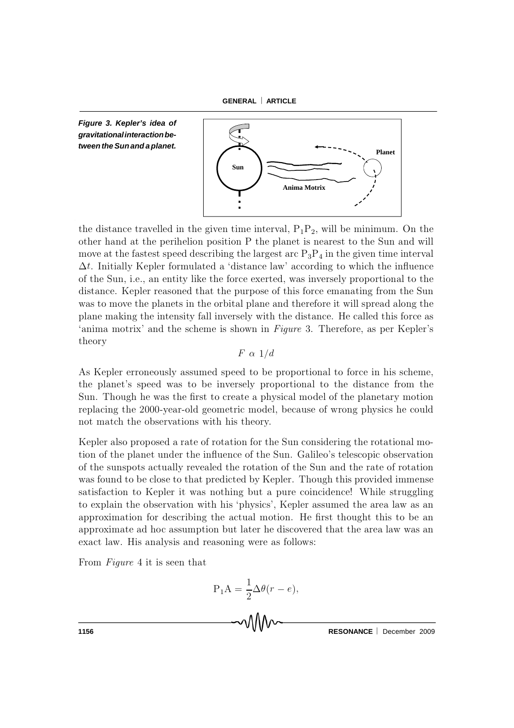



the distance travelled in the given time interval,  $P_1P_2$ , will be minimum. On the other hand at the perihelion position P the planet is nearest to the Sun and will move at the fastest speed describing the largest arc  $P_3P_4$  in the given time interval  $\Delta t$ . Initially K epler formulated a 'distance law' according to which the influence of the Sun, i.e., an entity like the force exerted, was inversely proportional to the distance. Kepler reasoned that the purpose of this force emanating from the Sun was to move the planets in the orbital plane and therefore it will spread along the plane making the intensity fall inversely with the distance. He called this force as 'anima motrix' and the scheme is shown in  $Figure 3$ . Therefore, as per Kepler's theory

 $F \alpha 1/d$ 

As Kepler erroneously assumed speed to be proportional to force in his scheme, the planet's speed was to be inversely proportional to the distance from the Sun. Though he was the first to create a physical model of the planetary motion replacing the 2000-year-old geometric model, because of wrong physics he could not match the observations with his theory.

K epler also proposed a rate of rotation for the Sun considering the rotational motion of the planet under the influence of the Sun. Galileo's telescopic observation of the sunspots actually revealed the rotation of the Sun and the rate of rotation was found to be close to that predicted by Kepler. Though this provided immense satisfaction to Kepler it was nothing but a pure coincidence! While struggling to explain the observation with his 'physics', Kepler assumed the area law as an approximation for describing the actual motion. He first thought this to be an approximate ad hoc assumption but later he discovered that the area law was an exact law. His analysis and reasoning were as follows:

From  $Figure 4$  it is seen that

$$
P_1 A = \frac{1}{2} \Delta \theta (r - e),
$$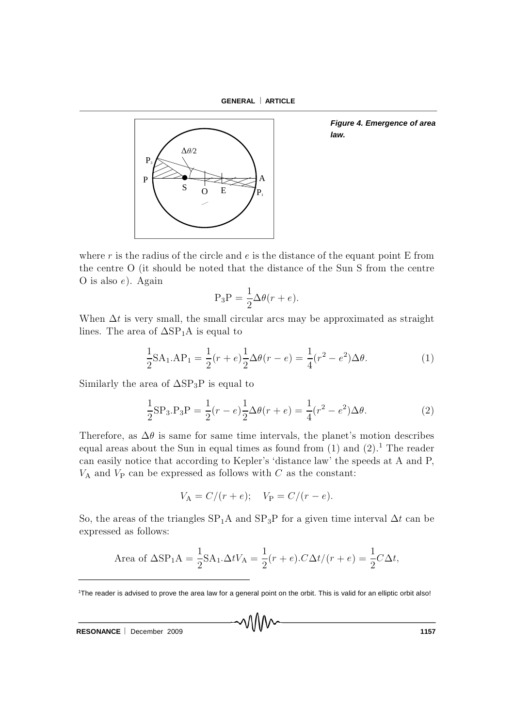**GENERAL ARTICLE**



*Figure 4. Emergence of area law.*

where r is the radius of the circle and  $e$  is the distance of the equant point E from the centre O (it should be noted that the distance of the Sun S from the centre O is also  $e$ ). Again

$$
P_3P = \frac{1}{2}\Delta\theta(r+e).
$$

When  $\Delta t$  is very small, the small circular arcs may be approximated as straight lines. The area of  $\Delta SP_1A$  is equal to

$$
\frac{1}{2}SA_1, AP_1 = \frac{1}{2}(r+e)\frac{1}{2}\Delta\theta(r-e) = \frac{1}{4}(r^2 - e^2)\Delta\theta.
$$
 (1)

Similarly the area of  $\Delta SP_3P$  is equal to

$$
\frac{1}{2}SP_3.P_3P = \frac{1}{2}(r - e)\frac{1}{2}\Delta\theta(r + e) = \frac{1}{4}(r^2 - e^2)\Delta\theta.
$$
 (2)

Therefore, as  $\Delta\theta$  is same for same time intervals, the planet's motion describes equal areas about the Sun in equal times as found from  $(1)$  and  $(2)$ .<sup>1</sup> The reader can easily notice that according to Kepler's 'distance law' the speeds at A and P,  $V_A$  and  $V_P$  can be expressed as follows with  $C$  as the constant:

$$
V_{\rm A} = C/(r + e);
$$
  $V_{\rm P} = C/(r - e).$ 

So, the areas of the triangles  $SP_1A$  and  $SP_3P$  for a given time interval  $\Delta t$  can be expressed as follows:

Area of 
$$
\Delta
$$
SP<sub>1</sub>A =  $\frac{1}{2}$ SA<sub>1</sub>. $\Delta tV_A = \frac{1}{2}(r+e)$ . $C\Delta t/(r+e) = \frac{1}{2}C\Delta t$ ,

**RESONANCE** December 2009 **1157** 

<sup>1</sup>The reader is advised to prove the area law for a general point on the orbit. This is valid for an elliptic orbit also!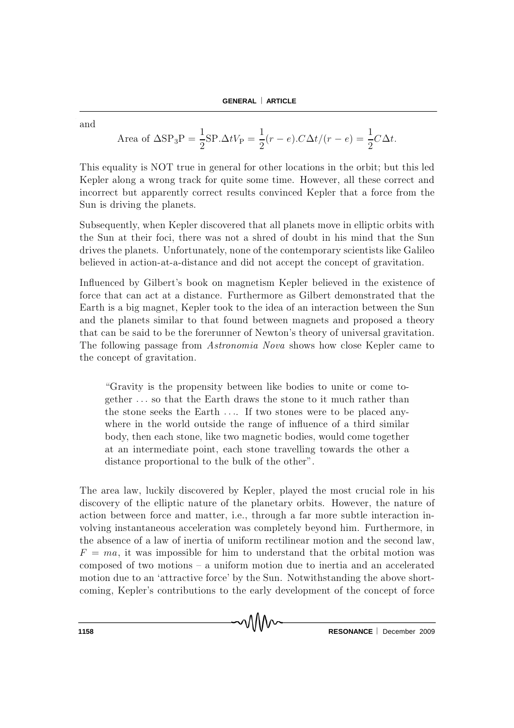and

Area of 
$$
\Delta SP_3P = \frac{1}{2}SP.\Delta tV_P = \frac{1}{2}(r-e).C\Delta t/(r-e) = \frac{1}{2}C\Delta t.
$$

This equality is NOT true in general for other locations in the orbit; but this led Kepler along a wrong track for quite some time. However, all these correct and incorrect but apparently correct results convinced Kepler that a force from the Sun is driving the planets.

Subsequently, when K epler discovered that all planets move in elliptic orbits with the Sun at their foci, there was not a shred of doubt in his mind that the Sun drives the planets. Unfortunately, none of the contemporary scientists like Galileo believed in action-at-a-distance and did not accept the concept of gravitation.

Influenced by Gilbert's book on magnetism Kepler believed in the existence of force that can act at a distance. Furthermore as Gilbert demonstrated that the Earth is a big magnet, Kepler took to the idea of an interaction between the Sun and the planets similar to that found between magnets and proposed a theory that can be said to be the forerunner of Newton's theory of universal gravitation. The following passage from *Astronomia Nova* shows how close Kepler came to the concept of gravitation.

"Gravity is the propensity between like bodies to unite or come together ... so that the Earth draws the stone to it much rather than the stone seeks the Earth  $\dots$ . If two stones were to be placed anywhere in the world outside the range of influence of a third similar body, then each stone, like two magnetic bodies, would come together at an intermediate point, each stone travelling towards the other a distance proportional to the bulk of the other".

The area law, luckily discovered by Kepler, played the most crucial role in his discovery of the elliptic nature of the planetary orbits. However, the nature of action between force and matter, i.e., through a far more subtle interaction involving instantaneous acceleration was completely beyond him. Furthermore, in the absence of a law of inertia of uniform rectilinear motion and the second law,  $F = ma$ , it was impossible for him to understand that the orbital motion was composed of two motions  $-$  a uniform motion due to inertia and an accelerated motion due to an 'attractive force' by the Sun. Notwithstanding the above shortcoming, Kepler's contributions to the early development of the concept of force

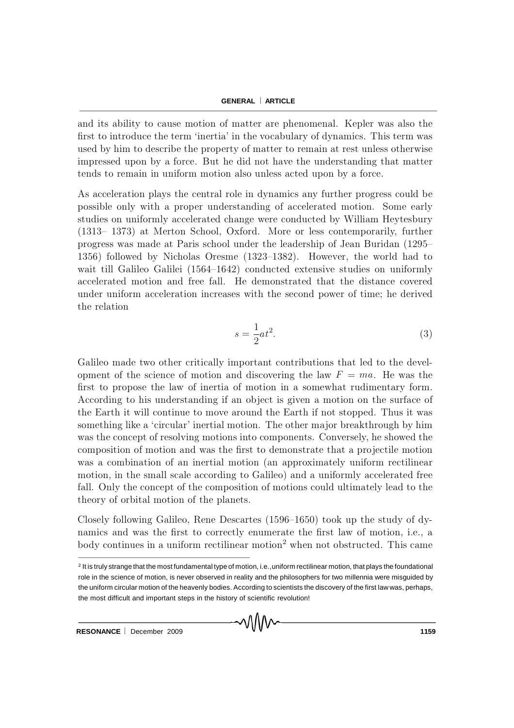and its ability to cause motion of matter are phenomenal. Kepler was also the first to introduce the term 'inertia' in the vocabulary of dynamics. This term was used by him to describe the property of matter to remain at rest unless otherwise impressed upon by a force. But he did not have the understanding that matter tends to remain in uniform motion also unless acted upon by a force.

As acceleration plays the central role in dynamics any further progress could be possible only with a proper understanding of accelerated motion. Some early studies on uniformly accelerated change were conducted by William Heytesbury  $(1313-1373)$  at Merton School, Oxford. More or less contemporarily, further progress was made at Paris school under the leadership of Jean Buridan (1295– 1356) followed by Nicholas Oresme  $(1323-1382)$ . However, the world had to wait till Galileo Galilei  $(1564-1642)$  conducted extensive studies on uniformly accelerated motion and free fall. He demonstrated that the distance covered under uniform acceleration increases with the second power of time; he derived the relation

$$
s = \frac{1}{2}at^2.
$$
\n<sup>(3)</sup>

Galileo made two other critically important contributions that led to the development of the science of motion and discovering the law  $F = ma$ . He was the first to propose the law of inertia of motion in a somewhat rudimentary form. A ccording to his understanding if an ob ject is given a m otion on the surface of the Earth it will continue to move around the Earth if not stopped. Thus it was something like a 'circular' inertial motion. The other major breakthrough by him was the concept of resolving motions into components. Conversely, he showed the composition of motion and was the first to demonstrate that a projectile motion was a combination of an inertial motion (an approximately uniform rectilinear motion, in the small scale according to Galileo) and a uniformly accelerated free fall. Only the concept of the composition of motions could ultimately lead to the theory of orbital motion of the planets.

Closely following Galileo, Rene Descartes  $(1596-1650)$  took up the study of dynamics and was the first to correctly enumerate the first law of motion, i.e., a body continues in a uniform rectilinear motion<sup>2</sup> when not obstructed. This came

<sup>2</sup> It is truly strange that the most fundamental type of motion, i.e.,uniform rectilinear motion, that plays the foundational role in the science of motion, is never observed in reality and the philosophers for two millennia were misguided by the uniform circular motion of the heavenly bodies. According to scientists the discovery of the first law was, perhaps, the most difficult and important steps in the history of scientific revolution!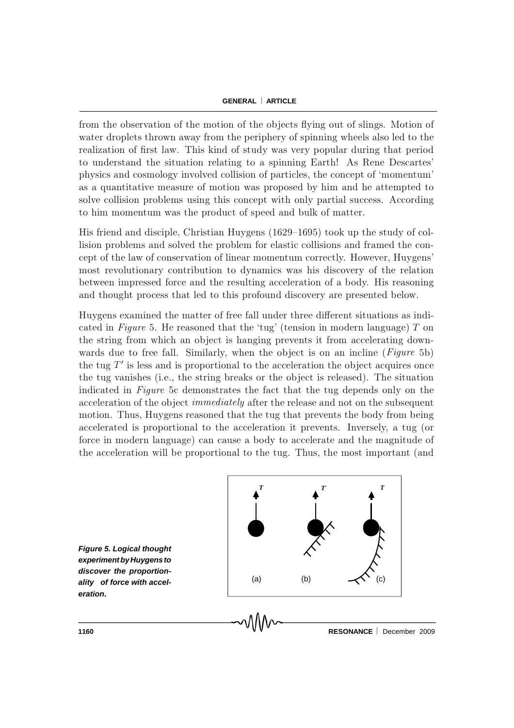from the observation of the motion of the objects flying out of slings. Motion of water droplets thrown away from the periphery of spinning wheels also led to the realization of first law. This kind of study was very popular during that period to understand the situation relating to a spinning Earth! As Rene Descartes' physics and cosmology involved collision of particles, the concept of 'momentum' as a quantitative measure of motion was proposed by him and he attempted to solve collision problems using this concept with only partial success. According to him momentum was the product of speed and bulk of matter.

H is friend and disciple, Christian Huygens  $(1629–1695)$  took up the study of collision problems and solved the problem for elastic collisions and framed the concept of the law of conservation of linear momentum correctly. However, Huygens' most revolutionary contribution to dynamics was his discovery of the relation between impressed force and the resulting acceleration of a body. His reasoning and thought process that led to this profound discovery are presented below.

Huygens examined the matter of free fall under three different situations as indicated in Figure 5. He reasoned that the 'tug' (tension in modern language) T on the string from which an object is hanging prevents it from accelerating downwards due to free fall. Similarly, when the object is on an incline  $(Figure 5b)$ the tug  $T'$  is less and is proportional to the acceleration the object acquires once the tug vanishes (i.e., the string breaks or the object is released). The situation indicated in Figure 5c demonstrates the fact that the tug depends only on the acceleration of the object *immediately* after the release and not on the subsequent motion. Thus, Huygens reasoned that the tug that prevents the body from being accelerated is proportional to the acceleration it prevents. Inversely, a tug (or force in modern language) can cause a body to accelerate and the magnitude of the acceleration will be proportional to the tug. Thus, the most important (and



*Figure 5. Logical thought experimentbyHuygensto discover the proportionality of force with acceleration.*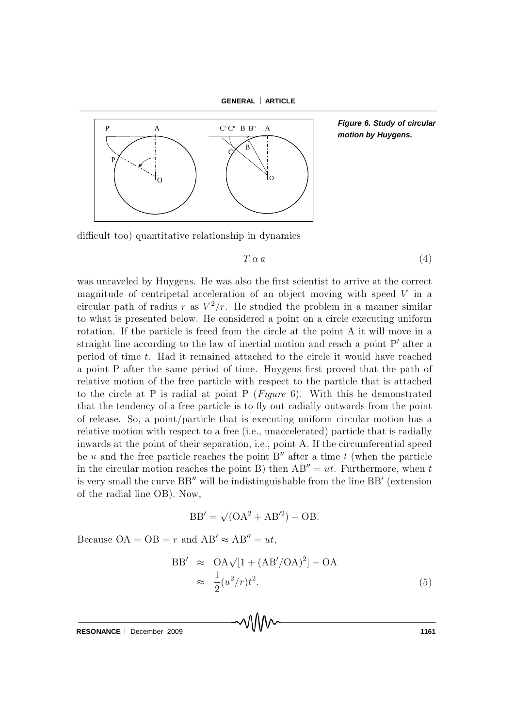



*Figure 6. Study of circular motion by Huygens.*

difficult too) quantitative relationship in dynamics

$$
T \alpha a \tag{4}
$$

was unraveled by Huygens. He was also the first scientist to arrive at the correct magnitude of centripetal acceleration of an object moving with speed  $V$  in a circular path of radius r as  $V^2/r$ . He studied the problem in a manner similar to what is presented below. He considered a point on a circle executing uniform rotation. If the particle is freed from the circle at the point A it will move in a straight line according to the law of inertial motion and reach a point  $P'$  after a period of time  $t$ . Had it remained attached to the circle it would have reached a point P after the same period of time. Huygens first proved that the path of relative motion of the free particle with respect to the particle that is attached to the circle at P is radial at point P (*Figure* 6). With this he demonstrated that the tendency of a free particle is to fly out radially outwards from the point of release. So, a point/particle that is executing uniform circular m otion has a relative motion with respect to a free (i.e., unaccelerated) particle that is radially inwards at the point of their separation, i.e., point A. If the circum ferential speed be u and the free particle reaches the point  $B''$  after a time t (when the particle in the circular motion reaches the point B) then  $AB'' = ut$ . Furthermore, when t is very small the curve  $\rm BB''$  will be indistinguishable from the line  $\rm BB'$  (extension of the radial line  $OB$ ). Now,

$$
BB' = \sqrt{(OA^2 + AB'^2)} - OB.
$$

Because  $OA = OB = r$  and  $AB' \approx AB'' = ut$ ,

$$
BB' \approx OA\sqrt{[1 + (AB'/OA)^2]} - OA
$$
  

$$
\approx \frac{1}{2}(u^2/r)t^2.
$$
 (5)

**RESONANCE** December 2009 **1161 1161**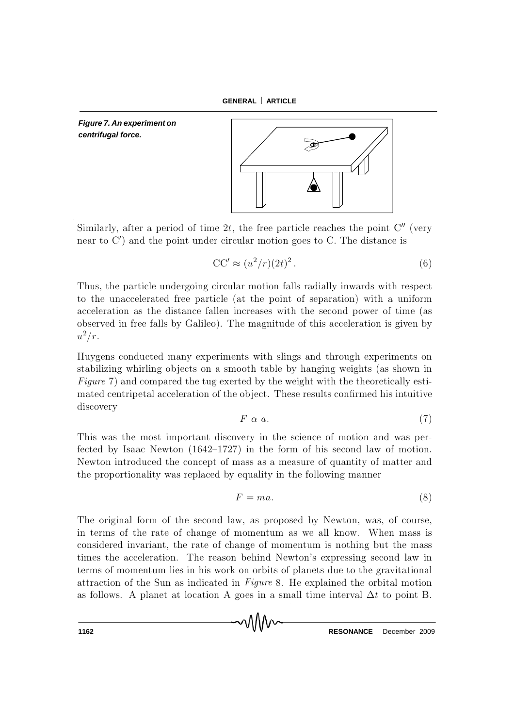**GENERAL ARTICLE**

*Figure 7. An experiment on centrifugal force.*



Similarly, after a period of time  $2t$ , the free particle reaches the point  $\mathsf{C}''$  (very near to  $C'$ ) and the point under circular motion goes to C. The distance is

$$
CC' \approx (u^2/r)(2t)^2.
$$
 (6)

Thus, the particle undergoing circular motion falls radially inwards with respect to the unaccelerated free particle (at the point of separation) with a uniform acceleration as the distance fallen increases with the second power of time (as observed in free falls by Galileo). The magnitude of this acceleration is given by  $u^2/r$ .

Huygens conducted many experiments with slings and through experiments on stabilizing whirling objects on a smooth table by hanging weights (as shown in Figure 7) and compared the tug exerted by the weight with the theoretically estimated centripetal acceleration of the object. These results confirmed his intuitive discovery

$$
F \alpha a. \tag{7}
$$

This was the most important discovery in the science of motion and was perfected by Isaac Newton  $(1642-1727)$  in the form of his second law of motion. Newton introduced the concept of mass as a measure of quantity of matter and the proportionality was replaced by equality in the following manner

$$
F = ma.
$$
 (8)

The original form of the second law, as proposed by Newton, was, of course, in terms of the rate of change of momentum as we all know. When mass is considered invariant, the rate of change of momentum is nothing but the mass times the acceleration. The reason behind Newton's expressing second law in terms of momentum lies in his work on orbits of planets due to the gravitational attraction of the Sun as indicated in  $Figure 8$ . He explained the orbital motion as follows. A planet at location A goes in a small time interval  $\Delta t$  to point B.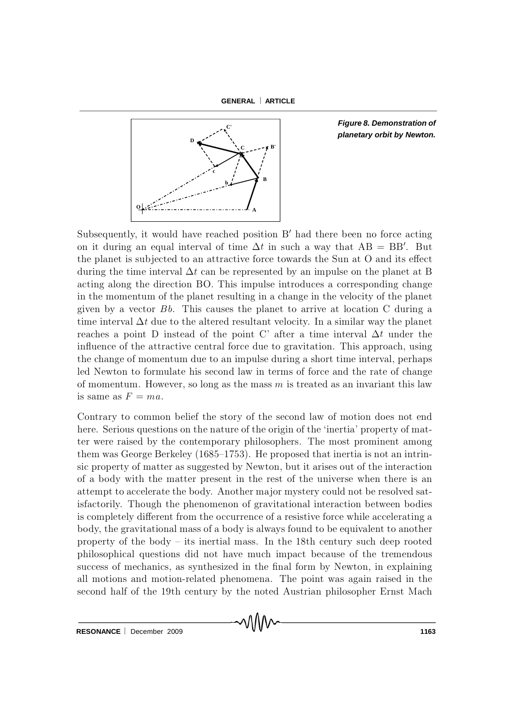

*Figure 8. Demonstration of planetary orbit by Newton.*

Subsequently, it would have reached position B' had there been no force acting on it during an equal interval of time  $\Delta t$  in such a way that  $AB = BB'$ . But the planet is subjected to an attractive force towards the Sun at  $O$  and its effect during the time interval  $\Delta t$  can be represented by an impulse on the planet at B acting along the direction BO. This impulse introduces a corresponding change in the momentum of the planet resulting in a change in the velocity of the planet given by a vector  $Bb$ . This causes the planet to arrive at location C during a time interval  $\Delta t$  due to the altered resultant velocity. In a similar way the planet reaches a point D instead of the point C' after a time interval  $\Delta t$  under the influence of the attractive central force due to gravitation. This approach, using the change of momentum due to an impulse during a short time interval, perhaps led Newton to formulate his second law in terms of force and the rate of change of momentum. However, so long as the mass  $m$  is treated as an invariant this law is same as  $F = ma$ .

Contrary to common belief the story of the second law of motion does not end here. Serious questions on the nature of the origin of the 'inertia' property of matter were raised by the contemporary philosophers. The most prominent among them was George Berkeley (1685–1753). He proposed that inertia is not an intrinsic property of matter as suggested by Newton, but it arises out of the interaction of a body with the matter present in the rest of the universe when there is an attempt to accelerate the body. Another major mystery could not be resolved satisfactorily. Though the phenomenon of gravitational interaction between bodies is completely different from the occurrence of a resistive force while accelerating a body, the gravitational mass of a body is always found to be equivalent to another property of the body  $-$  its inertial mass. In the 18th century such deep rooted philosophical questions did not have much impact because of the trem endous success of mechanics, as synthesized in the final form by Newton, in explaining all motions and motion-related phenomena. The point was again raised in the second half of the 19th century by the noted Austrian philosopher Ernst Mach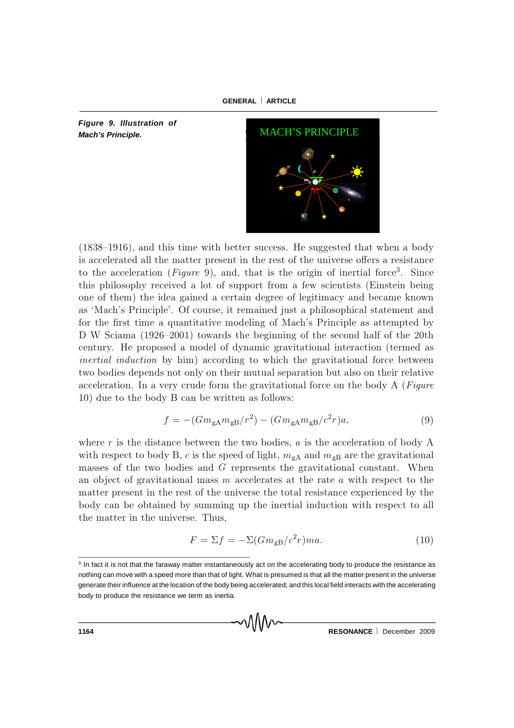

*Figure 9. Illustration of Mach's Principle.*



 $(1838–1916)$ , and this time with better success. He suggested that when a body is accelerated all the matter present in the rest of the universe offers a resistance to the acceleration (*Figure* 9), and, that is the origin of inertial force<sup>3</sup>. Since this philosophy received a lot of support from a few scientists (Einstein being one of them the idea gained a certain degree of legitimacy and became known as 'M ach's Principle'. Of course, it remained just a philosophical statement and for the first time a quantitative modeling of Mach's Principle as attempted by D W Sciama (1926-2001) towards the beginning of the second half of the 20th century. He proposed a model of dynamic gravitational interaction (termed as inertial induction by him) according to which the gravitational force between two bodies depends not only on their mutual separation but also on their relative acceleration. In a very crude form the gravitational force on the body  $A$  (Figure 10) due to the body  $B$  can be written as follows:

$$
f = -(Gm_{\rm gA}m_{\rm gB}/r^2) - (Gm_{\rm gA}m_{\rm gB}/c^2r)a,
$$
\n(9)

where r is the distance between the two bodies,  $a$  is the acceleration of body A with respect to body B, c is the speed of light,  $m_{gA}$  and  $m_{gB}$  are the gravitational masses of the two bodies and  $G$  represents the gravitational constant. When an object of gravitational mass  $m$  accelerates at the rate  $a$  with respect to the m atter present in the rest of the universe the total resistance experienced by the body can be obtained by summing up the inertial induction with respect to all the matter in the universe. Thus,

$$
F = \Sigma f = -\Sigma (Gm_{\rm gB}/c^2r)ma. \tag{10}
$$

<sup>&</sup>lt;sup>3</sup> In fact it is not that the faraway matter instantaneously act on the accelerating body to produce the resistance as nothing can move with a speed more than that of light. What is presumed is that all the matter present in the universe generate their influence at the location of the body being accelerated; and this local field interacts with the accelerating body to produce the resistance we term as inertia.